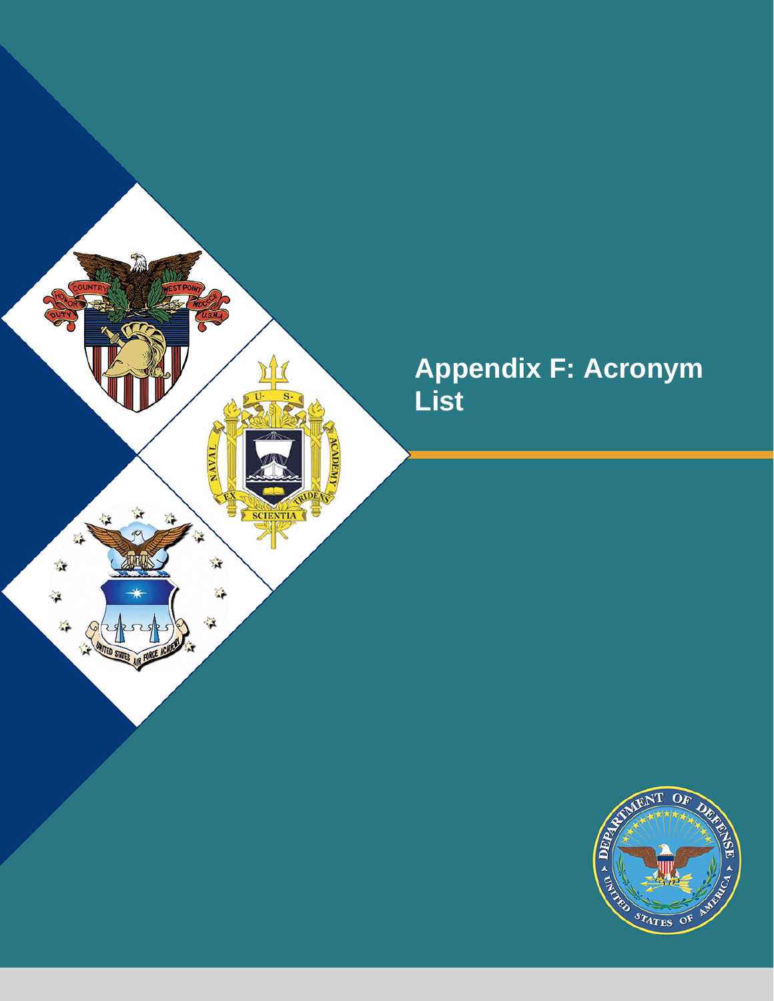

## **Appendix F: Acronym List**

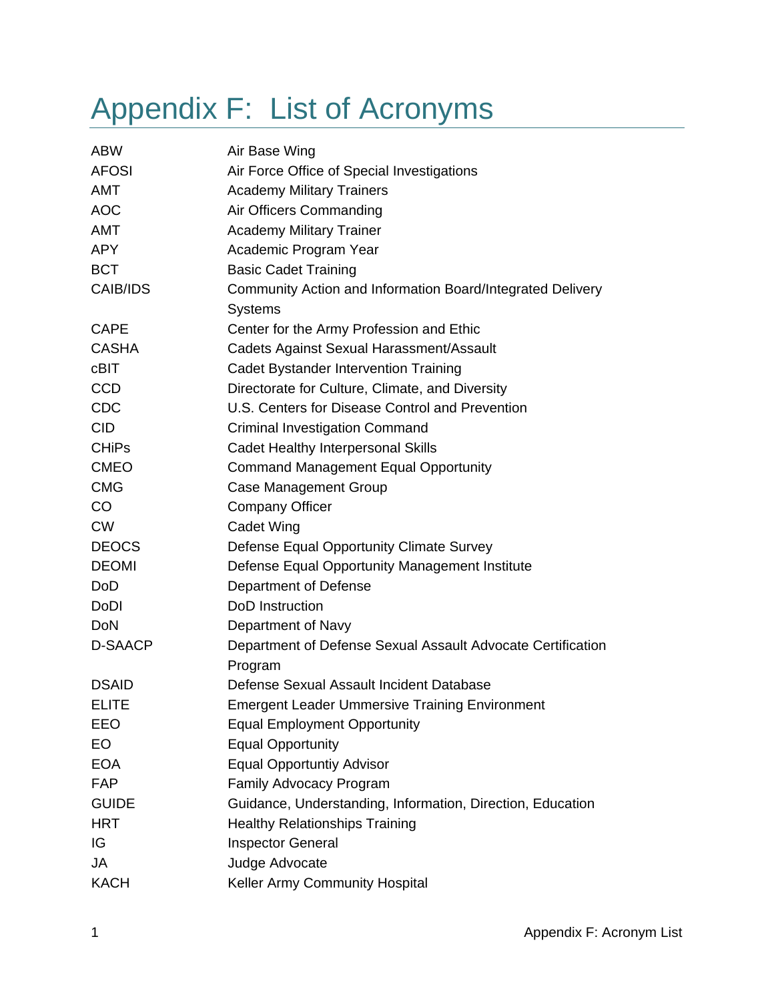## Appendix F: List of Acronyms

| <b>ABW</b>   | Air Base Wing                                               |
|--------------|-------------------------------------------------------------|
| <b>AFOSI</b> | Air Force Office of Special Investigations                  |
| AMT          | <b>Academy Military Trainers</b>                            |
| <b>AOC</b>   | Air Officers Commanding                                     |
| AMT          | <b>Academy Military Trainer</b>                             |
| <b>APY</b>   | Academic Program Year                                       |
| <b>BCT</b>   | <b>Basic Cadet Training</b>                                 |
| CAIB/IDS     | Community Action and Information Board/Integrated Delivery  |
|              | <b>Systems</b>                                              |
| <b>CAPE</b>  | Center for the Army Profession and Ethic                    |
| <b>CASHA</b> | Cadets Against Sexual Harassment/Assault                    |
| cBIT         | Cadet Bystander Intervention Training                       |
| <b>CCD</b>   | Directorate for Culture, Climate, and Diversity             |
| <b>CDC</b>   | U.S. Centers for Disease Control and Prevention             |
| <b>CID</b>   | <b>Criminal Investigation Command</b>                       |
| <b>CHiPs</b> | <b>Cadet Healthy Interpersonal Skills</b>                   |
| <b>CMEO</b>  | <b>Command Management Equal Opportunity</b>                 |
| <b>CMG</b>   | Case Management Group                                       |
| CO           | <b>Company Officer</b>                                      |
| <b>CW</b>    | <b>Cadet Wing</b>                                           |
| <b>DEOCS</b> | Defense Equal Opportunity Climate Survey                    |
| <b>DEOMI</b> | Defense Equal Opportunity Management Institute              |
| <b>DoD</b>   | Department of Defense                                       |
| DoDI         | DoD Instruction                                             |
| <b>DoN</b>   | Department of Navy                                          |
| D-SAACP      | Department of Defense Sexual Assault Advocate Certification |
|              | Program                                                     |
| <b>DSAID</b> | Defense Sexual Assault Incident Database                    |
| <b>ELITE</b> | <b>Emergent Leader Ummersive Training Environment</b>       |
| EEO          | <b>Equal Employment Opportunity</b>                         |
| EO           | <b>Equal Opportunity</b>                                    |
| <b>EOA</b>   | <b>Equal Opportuntiy Advisor</b>                            |
| <b>FAP</b>   | Family Advocacy Program                                     |
| <b>GUIDE</b> | Guidance, Understanding, Information, Direction, Education  |
| <b>HRT</b>   | <b>Healthy Relationships Training</b>                       |
| IG           | Inspector General                                           |
| JA           | Judge Advocate                                              |
| <b>KACH</b>  | Keller Army Community Hospital                              |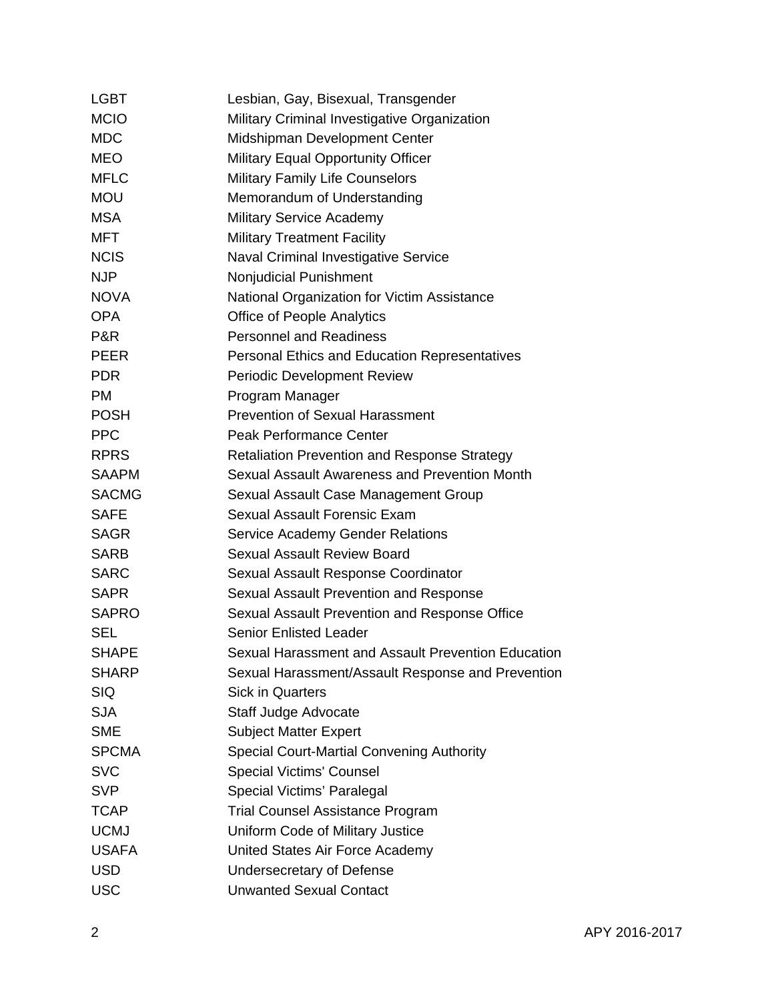| <b>LGBT</b>    | Lesbian, Gay, Bisexual, Transgender                 |
|----------------|-----------------------------------------------------|
| <b>MCIO</b>    | Military Criminal Investigative Organization        |
| <b>MDC</b>     | Midshipman Development Center                       |
| <b>MEO</b>     | <b>Military Equal Opportunity Officer</b>           |
| <b>MFLC</b>    | <b>Military Family Life Counselors</b>              |
| <b>MOU</b>     | Memorandum of Understanding                         |
| <b>MSA</b>     | <b>Military Service Academy</b>                     |
| MFT            | <b>Military Treatment Facility</b>                  |
| <b>NCIS</b>    | <b>Naval Criminal Investigative Service</b>         |
| <b>NJP</b>     | Nonjudicial Punishment                              |
| <b>NOVA</b>    | National Organization for Victim Assistance         |
| <b>OPA</b>     | <b>Office of People Analytics</b>                   |
| <b>P&amp;R</b> | <b>Personnel and Readiness</b>                      |
| <b>PEER</b>    | Personal Ethics and Education Representatives       |
| <b>PDR</b>     | <b>Periodic Development Review</b>                  |
| <b>PM</b>      | Program Manager                                     |
| <b>POSH</b>    | <b>Prevention of Sexual Harassment</b>              |
| <b>PPC</b>     | Peak Performance Center                             |
| <b>RPRS</b>    | <b>Retaliation Prevention and Response Strategy</b> |
| <b>SAAPM</b>   | Sexual Assault Awareness and Prevention Month       |
| <b>SACMG</b>   | Sexual Assault Case Management Group                |
| <b>SAFE</b>    | Sexual Assault Forensic Exam                        |
| <b>SAGR</b>    | <b>Service Academy Gender Relations</b>             |
| <b>SARB</b>    | Sexual Assault Review Board                         |
| <b>SARC</b>    | Sexual Assault Response Coordinator                 |
| <b>SAPR</b>    | Sexual Assault Prevention and Response              |
| <b>SAPRO</b>   | Sexual Assault Prevention and Response Office       |
| SEL            | <b>Senior Enlisted Leader</b>                       |
| <b>SHAPE</b>   | Sexual Harassment and Assault Prevention Education  |
| <b>SHARP</b>   | Sexual Harassment/Assault Response and Prevention   |
| <b>SIQ</b>     | <b>Sick in Quarters</b>                             |
| <b>SJA</b>     | Staff Judge Advocate                                |
| <b>SME</b>     | <b>Subject Matter Expert</b>                        |
| <b>SPCMA</b>   | <b>Special Court-Martial Convening Authority</b>    |
| <b>SVC</b>     | <b>Special Victims' Counsel</b>                     |
| <b>SVP</b>     | Special Victims' Paralegal                          |
| <b>TCAP</b>    | <b>Trial Counsel Assistance Program</b>             |
| <b>UCMJ</b>    | Uniform Code of Military Justice                    |
| <b>USAFA</b>   | United States Air Force Academy                     |
| <b>USD</b>     | Undersecretary of Defense                           |
| <b>USC</b>     | <b>Unwanted Sexual Contact</b>                      |